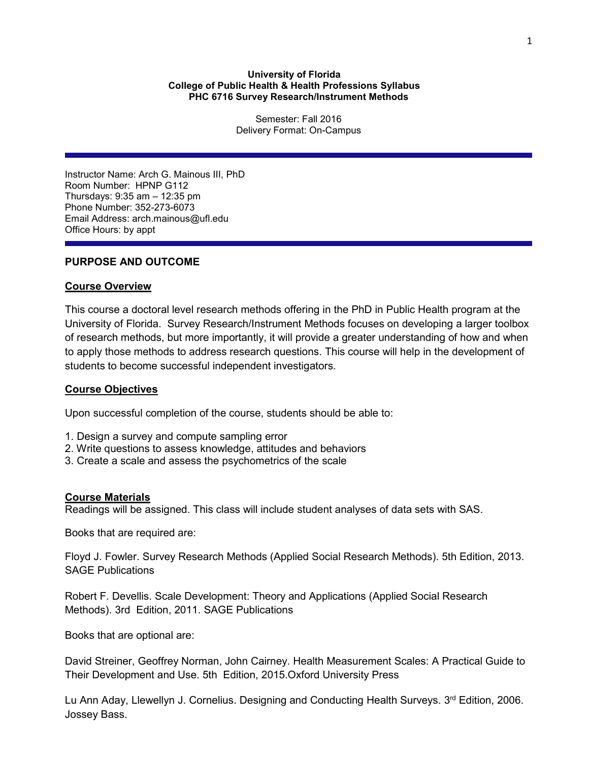## **University of Florida College of Public Health & Health Professions Syllabus PHC 6716 Survey Research/Instrument Methods**

Semester: Fall 2016 Delivery Format: On-Campus

Instructor Name: Arch G. Mainous III, PhD Room Number: HPNP G112 Thursdays: 9:35 am – 12:35 pm Phone Number: 352-273-6073 Email Address: arch.mainous@ufl.edu Office Hours: by appt

# **PURPOSE AND OUTCOME**

## **Course Overview**

This course a doctoral level research methods offering in the PhD in Public Health program at the University of Florida. Survey Research/Instrument Methods focuses on developing a larger toolbox of research methods, but more importantly, it will provide a greater understanding of how and when to apply those methods to address research questions. This course will help in the development of students to become successful independent investigators.

### **Course Objectives**

Upon successful completion of the course, students should be able to:

- 1. Design a survey and compute sampling error
- 2. Write questions to assess knowledge, attitudes and behaviors
- 3. Create a scale and assess the psychometrics of the scale

### **Course Materials**

Readings will be assigned. This class will include student analyses of data sets with SAS.

Books that are required are:

Floyd J. Fowler. Survey Research Methods (Applied Social Research Methods). 5th Edition, 2013. SAGE Publications

Robert F. Devellis. Scale Development: Theory and Applications (Applied Social Research Methods). 3rd Edition, 2011. SAGE Publications

Books that are optional are:

David Streiner, Geoffrey Norman, John Cairney. Health Measurement Scales: A Practical Guide to Their Development and Use. 5th Edition, 2015.Oxford University Press

Lu Ann Aday, Llewellyn J. Cornelius. Designing and Conducting Health Surveys.  $3<sup>rd</sup>$  Edition, 2006. Jossey Bass.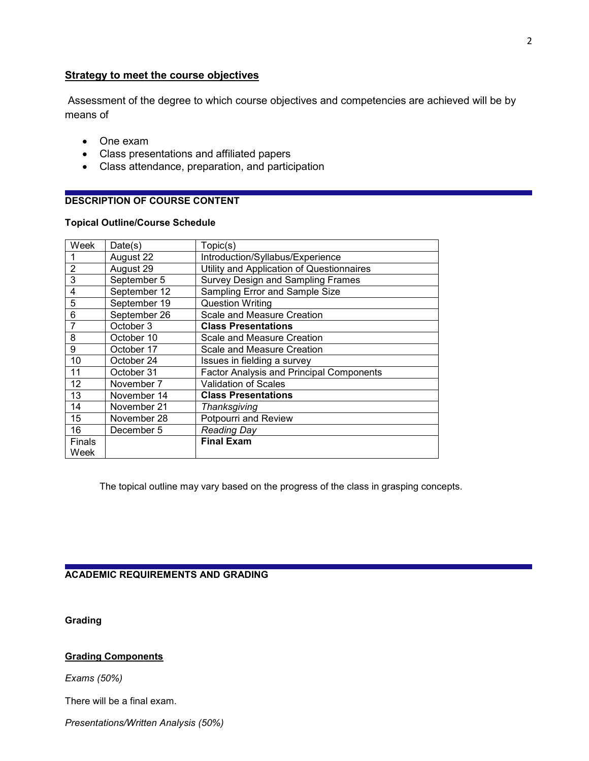# **Strategy to meet the course objectives**

Assessment of the degree to which course objectives and competencies are achieved will be by means of

- One exam
- Class presentations and affiliated papers
- Class attendance, preparation, and participation

# **DESCRIPTION OF COURSE CONTENT**

## **Topical Outline/Course Schedule**

| Week                  | Date(s)      | Topic(s)                                        |
|-----------------------|--------------|-------------------------------------------------|
|                       | August 22    | Introduction/Syllabus/Experience                |
| $\overline{2}$        | August 29    | Utility and Application of Questionnaires       |
| 3                     | September 5  | <b>Survey Design and Sampling Frames</b>        |
| 4                     | September 12 | Sampling Error and Sample Size                  |
| 5                     | September 19 | <b>Question Writing</b>                         |
| 6                     | September 26 | Scale and Measure Creation                      |
| 7                     | October 3    | <b>Class Presentations</b>                      |
| 8                     | October 10   | Scale and Measure Creation                      |
| 9                     | October 17   | Scale and Measure Creation                      |
| 10                    | October 24   | Issues in fielding a survey                     |
| 11                    | October 31   | <b>Factor Analysis and Principal Components</b> |
| 12                    | November 7   | <b>Validation of Scales</b>                     |
| 13                    | November 14  | <b>Class Presentations</b>                      |
| 14                    | November 21  | Thanksgiving                                    |
| 15                    | November 28  | Potpourri and Review                            |
| 16                    | December 5   | <b>Reading Day</b>                              |
| <b>Finals</b><br>Week |              | <b>Final Exam</b>                               |

The topical outline may vary based on the progress of the class in grasping concepts.

**ACADEMIC REQUIREMENTS AND GRADING**

**Grading**

# **Grading Components**

*Exams (50%)*

There will be a final exam.

*Presentations/Written Analysis (50%)*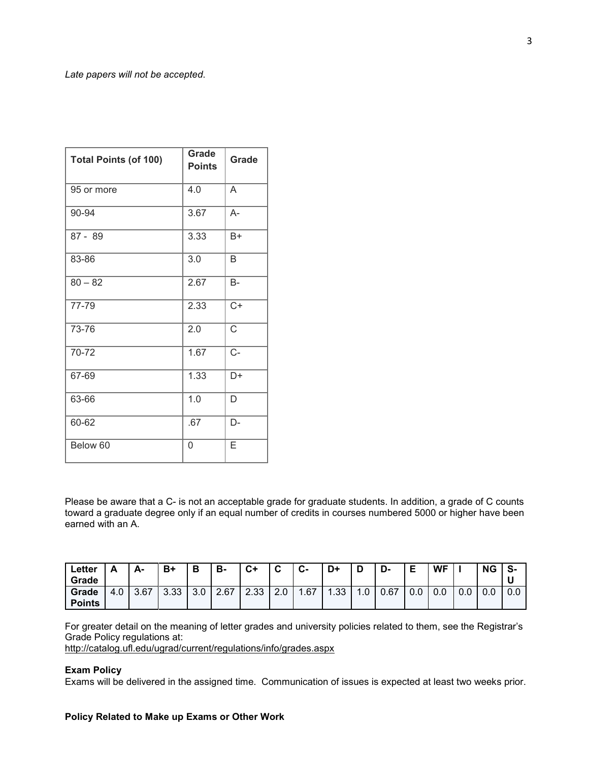| <b>Total Points (of 100)</b> | <b>Grade</b><br><b>Points</b> | Grade            |  |  |
|------------------------------|-------------------------------|------------------|--|--|
| 95 or more                   | 4.0                           | A                |  |  |
| 90-94                        | 3.67                          | A-               |  |  |
| $87 - 89$                    | 3.33                          | B+               |  |  |
| 83-86                        | 3.0                           | B                |  |  |
| $80 - 82$                    | 2.67                          | <b>B-</b>        |  |  |
| 77-79                        | 2.33                          | $\overline{C+}$  |  |  |
| 73-76                        | 2.0                           | Ċ                |  |  |
| 70-72                        | 1.67                          | $\overline{C}$ - |  |  |
| 67-69                        | 1.33                          | D+               |  |  |
| 63-66                        | 1.0                           | D                |  |  |
| 60-62                        | .67                           | D-               |  |  |
| Below 60                     | 0                             | E                |  |  |

Please be aware that a C- is not an acceptable grade for graduate students. In addition, a grade of C counts toward a graduate degree only if an equal number of credits in courses numbered 5000 or higher have been earned with an A.

| Letter        |     | А-   | $B+$ |                          | в-   | $C+$ | $\sim$<br>◡ | $\sim$<br>ს- | D+          |             | D-   | -<br>►<br>-   | <b>WF</b> |     | ΝG | S-  |
|---------------|-----|------|------|--------------------------|------|------|-------------|--------------|-------------|-------------|------|---------------|-----------|-----|----|-----|
| Grade         |     |      |      |                          |      |      |             |              |             |             |      |               |           |     |    |     |
| Grade         | 4.0 | 3.67 | 3.33 | $\Omega$ $\Omega$<br>J.U | 2.67 | 2.33 | 2.0         | .67          | ູລລ<br>ںں ا | $\cdot$ . U | 0.67 | $\sim$<br>v.u | 0.0       | 0.0 |    | 0.0 |
| <b>Points</b> |     |      |      |                          |      |      |             |              |             |             |      |               |           |     |    |     |

For greater detail on the meaning of letter grades and university policies related to them, see the Registrar's Grade Policy regulations at:

<http://catalog.ufl.edu/ugrad/current/regulations/info/grades.aspx>

#### **Exam Policy**

Exams will be delivered in the assigned time. Communication of issues is expected at least two weeks prior.

# **Policy Related to Make up Exams or Other Work**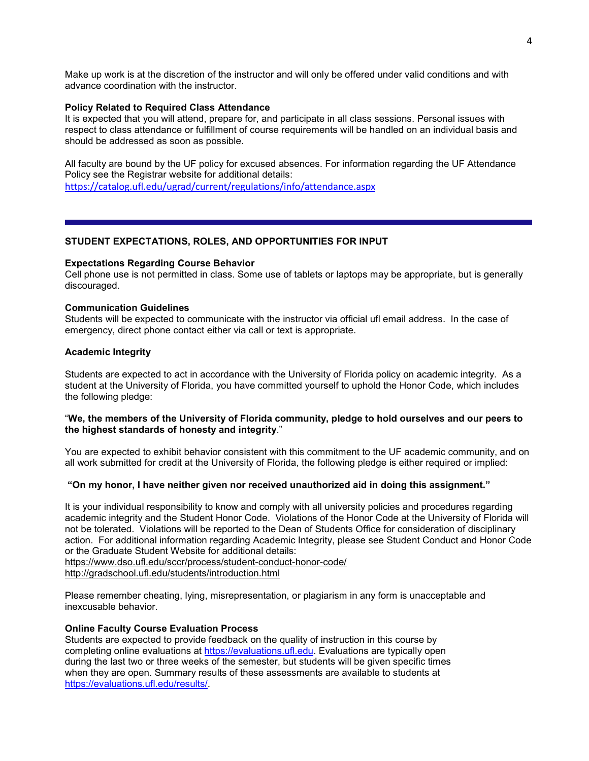Make up work is at the discretion of the instructor and will only be offered under valid conditions and with advance coordination with the instructor.

#### **Policy Related to Required Class Attendance**

It is expected that you will attend, prepare for, and participate in all class sessions. Personal issues with respect to class attendance or fulfillment of course requirements will be handled on an individual basis and should be addressed as soon as possible.

All faculty are bound by the UF policy for excused absences. For information regarding the UF Attendance Policy see the Registrar website for additional details:

<https://catalog.ufl.edu/ugrad/current/regulations/info/attendance.aspx>

### **STUDENT EXPECTATIONS, ROLES, AND OPPORTUNITIES FOR INPUT**

#### **Expectations Regarding Course Behavior**

Cell phone use is not permitted in class. Some use of tablets or laptops may be appropriate, but is generally discouraged.

#### **Communication Guidelines**

Students will be expected to communicate with the instructor via official ufl email address. In the case of emergency, direct phone contact either via call or text is appropriate.

#### **Academic Integrity**

Students are expected to act in accordance with the University of Florida policy on academic integrity. As a student at the University of Florida, you have committed yourself to uphold the Honor Code, which includes the following pledge:

## "**We, the members of the University of Florida community, pledge to hold ourselves and our peers to the highest standards of honesty and integrity**."

You are expected to exhibit behavior consistent with this commitment to the UF academic community, and on all work submitted for credit at the University of Florida, the following pledge is either required or implied:

### **"On my honor, I have neither given nor received unauthorized aid in doing this assignment."**

It is your individual responsibility to know and comply with all university policies and procedures regarding academic integrity and the Student Honor Code. Violations of the Honor Code at the University of Florida will not be tolerated. Violations will be reported to the Dean of Students Office for consideration of disciplinary action. For additional information regarding Academic Integrity, please see Student Conduct and Honor Code or the Graduate Student Website for additional details:

<https://www.dso.ufl.edu/sccr/process/student-conduct-honor-code/> <http://gradschool.ufl.edu/students/introduction.html>

Please remember cheating, lying, misrepresentation, or plagiarism in any form is unacceptable and inexcusable behavior.

#### **Online Faculty Course Evaluation Process**

Students are expected to provide feedback on the quality of instruction in this course by completing online evaluations at [https://evaluations.ufl.edu.](https://evaluations.ufl.edu/) Evaluations are typically open during the last two or three weeks of the semester, but students will be given specific times when they are open. Summary results of these assessments are available to students at [https://evaluations.ufl.edu/results/.](https://evaluations.ufl.edu/results/)